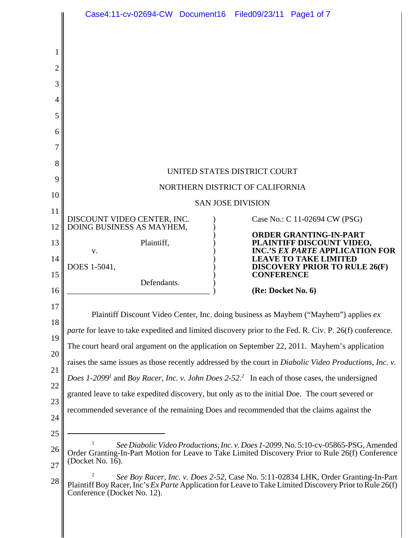|          | Case4:11-cv-02694-CW Document16 Filed09/23/11 Page1 of 7                                                                                                                                                                    |  |                    |                                                                                                      |  |  |  |  |  |  |
|----------|-----------------------------------------------------------------------------------------------------------------------------------------------------------------------------------------------------------------------------|--|--------------------|------------------------------------------------------------------------------------------------------|--|--|--|--|--|--|
| 2<br>3   |                                                                                                                                                                                                                             |  |                    |                                                                                                      |  |  |  |  |  |  |
| 4        |                                                                                                                                                                                                                             |  |                    |                                                                                                      |  |  |  |  |  |  |
| 5        |                                                                                                                                                                                                                             |  |                    |                                                                                                      |  |  |  |  |  |  |
| 6        |                                                                                                                                                                                                                             |  |                    |                                                                                                      |  |  |  |  |  |  |
| 7        |                                                                                                                                                                                                                             |  |                    |                                                                                                      |  |  |  |  |  |  |
| 8        | UNITED STATES DISTRICT COURT                                                                                                                                                                                                |  |                    |                                                                                                      |  |  |  |  |  |  |
| 9        | NORTHERN DISTRICT OF CALIFORNIA                                                                                                                                                                                             |  |                    |                                                                                                      |  |  |  |  |  |  |
| 10       | <b>SAN JOSE DIVISION</b>                                                                                                                                                                                                    |  |                    |                                                                                                      |  |  |  |  |  |  |
| 11<br>12 | DISCOUNT VIDEO CENTER, INC.<br>DOING BUSINESS AS MAYHEM,                                                                                                                                                                    |  |                    | Case No.: C 11-02694 CW (PSG)                                                                        |  |  |  |  |  |  |
| 13       | Plaintiff,<br>V.                                                                                                                                                                                                            |  |                    | <b>ORDER GRANTING-IN-PART</b><br>PLAINTIFF DISCOUNT VIDEO,<br><b>INC.'S EX PARTE APPLICATION FOR</b> |  |  |  |  |  |  |
| 14<br>15 | DOES 1-5041,                                                                                                                                                                                                                |  | <b>CONFERENCE</b>  | <b>LEAVE TO TAKE LIMITED</b><br><b>DISCOVERY PRIOR TO RULE 26(F)</b>                                 |  |  |  |  |  |  |
| 16       | Defendants.                                                                                                                                                                                                                 |  | (Re: Docket No. 6) |                                                                                                      |  |  |  |  |  |  |
| 17<br>18 | Plaintiff Discount Video Center, Inc. doing business as Mayhem ("Mayhem") applies ex                                                                                                                                        |  |                    |                                                                                                      |  |  |  |  |  |  |
| 19       | <i>parte</i> for leave to take expedited and limited discovery prior to the Fed. R. Civ. P. 26(f) conference.                                                                                                               |  |                    |                                                                                                      |  |  |  |  |  |  |
| 20       | The court heard oral argument on the application on September 22, 2011. Mayhem's application                                                                                                                                |  |                    |                                                                                                      |  |  |  |  |  |  |
| 21       | raises the same issues as those recently addressed by the court in <i>Diabolic Video Productions</i> , <i>Inc. v.</i>                                                                                                       |  |                    |                                                                                                      |  |  |  |  |  |  |
| 22       | Does 1-2099 <sup>1</sup> and Boy Racer, Inc. v. John Does 2-52. <sup>2</sup> In each of those cases, the undersigned                                                                                                        |  |                    |                                                                                                      |  |  |  |  |  |  |
| 23       | granted leave to take expedited discovery, but only as to the initial Doe. The court severed or                                                                                                                             |  |                    |                                                                                                      |  |  |  |  |  |  |
| 24       | recommended severance of the remaining Does and recommended that the claims against the                                                                                                                                     |  |                    |                                                                                                      |  |  |  |  |  |  |
| 25       |                                                                                                                                                                                                                             |  |                    |                                                                                                      |  |  |  |  |  |  |
| 26<br>27 | See Diabolic Video Productions, Inc. v. Does 1-2099, No. 5:10-cv-05865-PSG, Amended<br>Order Granting-In-Part Motion for Leave to Take Limited Discovery Prior to Rule 26(f) Conference<br>(Docket No. 16).                 |  |                    |                                                                                                      |  |  |  |  |  |  |
| 28       | See Boy Racer, Inc. v. Does 2-52, Case No. 5:11-02834 LHK, Order Granting-In-Part<br>Plaintiff Boy Racer, Inc's Ex Parte Application for Leave to Take Limited Discovery Prior to Rule 26(f)<br>Conference (Docket No. 12). |  |                    |                                                                                                      |  |  |  |  |  |  |
|          |                                                                                                                                                                                                                             |  |                    |                                                                                                      |  |  |  |  |  |  |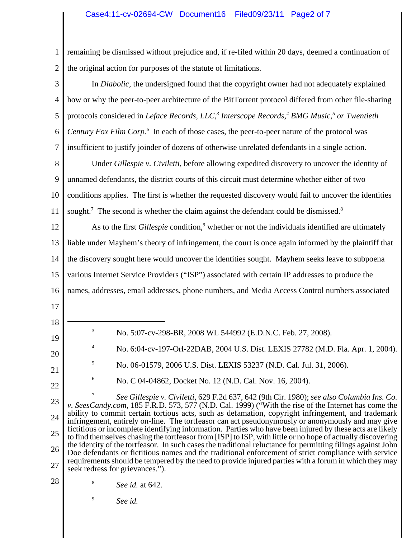## Case4:11-cv-02694-CW Document16 Filed09/23/11 Page2 of 7

1 2 remaining be dismissed without prejudice and, if re-filed within 20 days, deemed a continuation of the original action for purposes of the statute of limitations.

3 4 5 6 7 In *Diabolic,* the undersigned found that the copyright owner had not adequately explained how or why the peer-to-peer architecture of the BitTorrent protocol differed from other file-sharing protocols considered in *Leface Records, LLC*,<sup>3</sup> Interscope Records,<sup>4</sup> BMG Music,<sup>5</sup> or Twentieth Century Fox Film Corp.<sup>6</sup> In each of those cases, the peer-to-peer nature of the protocol was insufficient to justify joinder of dozens of otherwise unrelated defendants in a single action.

8 9 10 11 Under *Gillespie v. Civiletti*, before allowing expedited discovery to uncover the identity of unnamed defendants, the district courts of this circuit must determine whether either of two conditions applies. The first is whether the requested discovery would fail to uncover the identities sought.<sup>7</sup> The second is whether the claim against the defendant could be dismissed. $8$ 

12 13 14 15 16 As to the first *Gillespie* condition,<sup>9</sup> whether or not the individuals identified are ultimately liable under Mayhem's theory of infringement, the court is once again informed by the plaintiff that the discovery sought here would uncover the identities sought. Mayhem seeks leave to subpoena various Internet Service Providers ("ISP") associated with certain IP addresses to produce the names, addresses, email addresses, phone numbers, and Media Access Control numbers associated

- 17
- 18
- <sup>3</sup> No. 5:07-cv-298-BR, 2008 WL 544992 (E.D.N.C. Feb. 27, 2008).
- 20
- 21

19

<sup>4</sup> No. 6:04-cv-197-Orl-22DAB, 2004 U.S. Dist. LEXIS 27782 (M.D. Fla. Apr. 1, 2004).

- <sup>5</sup> No. 06-01579, 2006 U.S. Dist. LEXIS 53237 (N.D. Cal. Jul. 31, 2006).
- 22
- <sup>6</sup> No. C 04-04862, Docket No. 12 (N.D. Cal. Nov. 16, 2004).

23 24 25 26 27 <sup>7</sup> *See Gillespie v. Civiletti,* 629 F.2d 637, 642 (9th Cir. 1980); *see also Columbia Ins. Co. v. SeesCandy.com,* 185 F.R.D. 573, 577 (N.D. Cal. 1999) ("With the rise of the Internet has come the ability to commit certain tortious acts, such as defamation, copyright infringement, and trademark infringement, entirely on-line. The tortfeasor can act pseudonymously or anonymously and may give fictitious or incomplete identifying information. Parties who have been injured by these acts are likely to find themselves chasing the tortfeasor from [ISP] to ISP, with little or no hope of actually discovering the identity of the tortfeasor. In such cases the traditional reluctance for permitting filings against John Doe defendants or fictitious names and the traditional enforcement of strict compliance with service requirements should be tempered by the need to provide injured parties with a forum in which they may seek redress for grievances.").

- 28
- <sup>8</sup> *See id.* at 642.

<sup>9</sup> *See id.*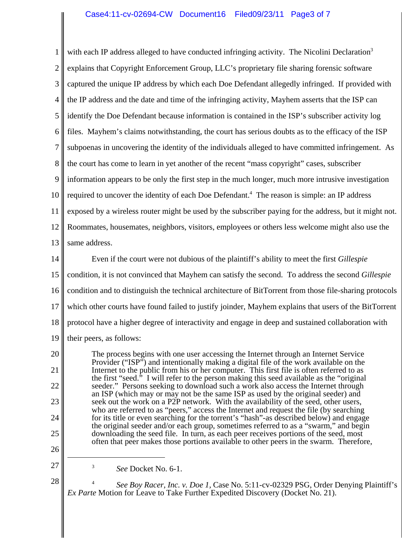1 2 3 4 5 6 7 8 9 10 11 12 13 with each IP address alleged to have conducted infringing activity. The Nicolini Declaration<sup>3</sup> explains that Copyright Enforcement Group, LLC's proprietary file sharing forensic software captured the unique IP address by which each Doe Defendant allegedly infringed. If provided with the IP address and the date and time of the infringing activity, Mayhem asserts that the ISP can identify the Doe Defendant because information is contained in the ISP's subscriber activity log files. Mayhem's claims notwithstanding, the court has serious doubts as to the efficacy of the ISP subpoenas in uncovering the identity of the individuals alleged to have committed infringement. As the court has come to learn in yet another of the recent "mass copyright" cases, subscriber information appears to be only the first step in the much longer, much more intrusive investigation required to uncover the identity of each Doe Defendant.<sup>4</sup> The reason is simple: an IP address exposed by a wireless router might be used by the subscriber paying for the address, but it might not. Roommates, housemates, neighbors, visitors, employees or others less welcome might also use the same address.

14 15 16 17 18 19 Even if the court were not dubious of the plaintiff's ability to meet the first *Gillespie* condition, it is not convinced that Mayhem can satisfy the second. To address the second *Gillespie* condition and to distinguish the technical architecture of BitTorrent from those file-sharing protocols which other courts have found failed to justify joinder, Mayhem explains that users of the BitTorrent protocol have a higher degree of interactivity and engage in deep and sustained collaboration with their peers, as follows:

The process begins with one user accessing the Internet through an Internet Service Provider ("ISP") and intentionally making a digital file of the work available on the Internet to the public from his or her computer. This first file is often referred to as the first "seed." I will refer to the person making this seed available as the "original" seeder." Persons seeking to download such a work also access the Internet through an ISP (which may or may not be the same ISP as used by the original seeder) and seek out the work on a P2P network. With the availability of the seed, other users, who are referred to as "peers," access the Internet and request the file (by searching for its title or even searching for the torrent's "hash"-as described below) and engage the original seeder and/or each group, sometimes referred to as a "swarm," and begin downloading the seed file. In turn, as each peer receives portions of the seed, most often that peer makes those portions available to other peers in the swarm. Therefore,

<sup>3</sup> *See* Docket No. 6-1.

20

21

22

23

24

25

26

27

28

<sup>4</sup> *See Boy Racer, Inc. v. Doe 1,* Case No. 5:11-cv-02329 PSG, Order Denying Plaintiff's *Ex Parte* Motion for Leave to Take Further Expedited Discovery (Docket No. 21).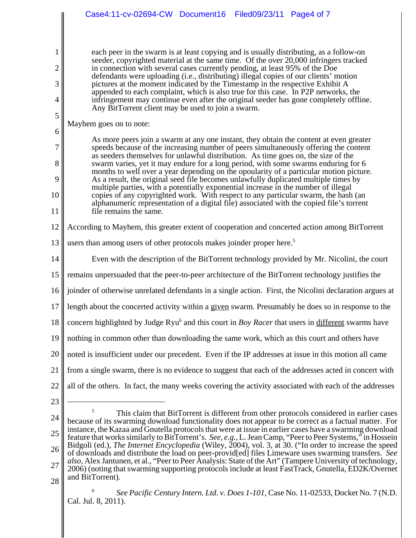|          | Case4:11-cv-02694-CW Document16<br>Filed09/23/11 Page4 of 7                                                                                                                                                                                                                                                                                                                                                                        |  |  |  |  |  |  |  |  |
|----------|------------------------------------------------------------------------------------------------------------------------------------------------------------------------------------------------------------------------------------------------------------------------------------------------------------------------------------------------------------------------------------------------------------------------------------|--|--|--|--|--|--|--|--|
|          |                                                                                                                                                                                                                                                                                                                                                                                                                                    |  |  |  |  |  |  |  |  |
|          | each peer in the swarm is at least copying and is usually distributing, as a follow-on                                                                                                                                                                                                                                                                                                                                             |  |  |  |  |  |  |  |  |
| 2        | seeder, copyrighted material at the same time. Of the over 20,000 infringers tracked<br>in connection with several cases currently pending, at least 95% of the Doe                                                                                                                                                                                                                                                                |  |  |  |  |  |  |  |  |
| 3        | defendants were uploading (i.e., distributing) illegal copies of our clients' motion<br>pictures at the moment indicated by the Timestamp in the respective Exhibit A                                                                                                                                                                                                                                                              |  |  |  |  |  |  |  |  |
| 4        | appended to each complaint, which is also true for this case. In P2P networks, the<br>infringement may continue even after the original seeder has gone completely offline.                                                                                                                                                                                                                                                        |  |  |  |  |  |  |  |  |
| 5        | Any BitTorrent client may be used to join a swarm.                                                                                                                                                                                                                                                                                                                                                                                 |  |  |  |  |  |  |  |  |
| 6        | Mayhem goes on to note:                                                                                                                                                                                                                                                                                                                                                                                                            |  |  |  |  |  |  |  |  |
| 7        | As more peers join a swarm at any one instant, they obtain the content at even greater<br>speeds because of the increasing number of peers simultaneously offering the content<br>as seeders themselves for unlawful distribution. As time goes on, the size of the                                                                                                                                                                |  |  |  |  |  |  |  |  |
| 8        | swarm varies, yet it may endure for a long period, with some swarms enduring for 6<br>months to well over a year depending on the opoularity of a particular motion picture.                                                                                                                                                                                                                                                       |  |  |  |  |  |  |  |  |
| 9        | As a result, the original seed file becomes unlawfully duplicated multiple times by<br>multiple parties, with a potentially exponential increase in the number of illegal<br>copies of any copyrighted work. With respect to any particular swarm, the hash (an<br>alphanumeric representation of a digital file) associated with the copied file's torrent<br>file remains the same.                                              |  |  |  |  |  |  |  |  |
| 10       |                                                                                                                                                                                                                                                                                                                                                                                                                                    |  |  |  |  |  |  |  |  |
| 11       |                                                                                                                                                                                                                                                                                                                                                                                                                                    |  |  |  |  |  |  |  |  |
| 12       | According to Mayhem, this greater extent of cooperation and concerted action among BitTorrent                                                                                                                                                                                                                                                                                                                                      |  |  |  |  |  |  |  |  |
| 13       | users than among users of other protocols makes joinder proper here. <sup>5</sup>                                                                                                                                                                                                                                                                                                                                                  |  |  |  |  |  |  |  |  |
| 14       | Even with the description of the BitTorrent technology provided by Mr. Nicolini, the court                                                                                                                                                                                                                                                                                                                                         |  |  |  |  |  |  |  |  |
| 15       | remains unpersuaded that the peer-to-peer architecture of the BitTorrent technology justifies the                                                                                                                                                                                                                                                                                                                                  |  |  |  |  |  |  |  |  |
| 16       | joinder of otherwise unrelated defendants in a single action. First, the Nicolini declaration argues at                                                                                                                                                                                                                                                                                                                            |  |  |  |  |  |  |  |  |
| 17       | length about the concerted activity within a given swarm. Presumably he does so in response to the                                                                                                                                                                                                                                                                                                                                 |  |  |  |  |  |  |  |  |
| 18       | concern highlighted by Judge Ryu <sup>6</sup> and this court in <i>Boy Racer</i> that users in different swarms have                                                                                                                                                                                                                                                                                                               |  |  |  |  |  |  |  |  |
| 19       | nothing in common other than downloading the same work, which as this court and others have                                                                                                                                                                                                                                                                                                                                        |  |  |  |  |  |  |  |  |
| 20       | noted is insufficient under our precedent. Even if the IP addresses at issue in this motion all came                                                                                                                                                                                                                                                                                                                               |  |  |  |  |  |  |  |  |
| 21       | from a single swarm, there is no evidence to suggest that each of the addresses acted in concert with                                                                                                                                                                                                                                                                                                                              |  |  |  |  |  |  |  |  |
| 22       | all of the others. In fact, the many weeks covering the activity associated with each of the addresses                                                                                                                                                                                                                                                                                                                             |  |  |  |  |  |  |  |  |
| 23       |                                                                                                                                                                                                                                                                                                                                                                                                                                    |  |  |  |  |  |  |  |  |
| 24       | 5<br>This claim that BitTorrent is different from other protocols considered in earlier cases<br>because of its swarming download functionality does not appear to be correct as a factual matter. For                                                                                                                                                                                                                             |  |  |  |  |  |  |  |  |
| 25       | instance, the Kazaa and Gnutella protocols that were at issue in earlier cases have a swarming download<br>feature that works similarly to BitTorrent's. See, e.g., L. Jean Camp, "Peer to Peer Systems," in Hossein                                                                                                                                                                                                               |  |  |  |  |  |  |  |  |
| 26       | Bidgoli (ed.), The Internet Encyclopedia (Wiley, 2004), vol. 3, at 30. ("In order to increase the speed<br>of downloads and distribute the load on peer-provid[ed] files Limeware uses swarming transfers. See<br>also, Alex Jantunen, et al., "Peer to Peer Analysis: State of the Art" (Tampere University of technology,<br>2006) (noting that swarming supporting protocols include at least FastTrack, Gnutella, ED2K/Overnet |  |  |  |  |  |  |  |  |
| 27       |                                                                                                                                                                                                                                                                                                                                                                                                                                    |  |  |  |  |  |  |  |  |
| $\Omega$ | and BitTorrent).                                                                                                                                                                                                                                                                                                                                                                                                                   |  |  |  |  |  |  |  |  |

28

<sup>6</sup> *See Pacific Century Intern. Ltd. v. Does 1-101,* Case No. 11-02533, Docket No. 7 (N.D. Cal. Jul. 8, 2011).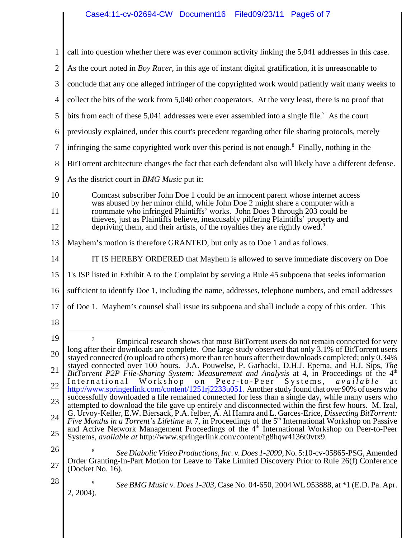1 2 3 4 5 6 7 8 9 10 11 12 13 14 15 16 17 18 19 20 21 22 23 24 25 26 27 28 Empirical research shows that most BitTorrent users do not remain connected for very long after their downloads are complete. One large study observed that only 3.1% of BitTorrent users stayed connected (to upload to others) more than ten hours after their downloads completed; only 0.34% stayed connected over 100 hours. J.A. Pouwelse, P. Garbacki, D.H.J. Epema, and H.J. Sips, *The BitTorrent P2P File-Sharing System: Measurement and Analysis* at 4, in Proceedings of the 4<sup>th</sup> International Workshop on Peer-to-Peer Systems, *available* at Peer-to-Peer Systems, *available* at http://www.springerlink.com/content/1251rj2233u051. Another study found that over 90% of users who successfully downloaded a file remained connected for less than a single day, while many users who attempted to download the file gave up entirely and disconnected within the first few hours. M. Izal, G. Urvoy-Keller, E.W. Biersack, P.A. felber, A. Al Hamra and L. Garces-Erice, *Dissecting BitTorrent: Five Months in a Torrent's Lifetime* at 7, in Proceedings of the 5<sup>th</sup> International Workshop on Passive and Active Network Management Proceedings of the  $4<sup>th</sup>$  International Workshop on Peer-to-Peer Systems, *available at* http://www.springerlink.com/content/fg8hqw4136t0vtx9. <sup>8</sup> *See Diabolic Video Productions, Inc. v. Does 1-2099,* No. 5:10-cv-05865-PSG, Amended Order Granting-In-Part Motion for Leave to Take Limited Discovery Prior to Rule 26(f) Conference (Docket No. 16). <sup>9</sup> *See BMG Music v. Does 1-203,* Case No. 04-650, 2004 WL 953888, at \*1 (E.D. Pa. Apr. 2, 2004). call into question whether there was ever common activity linking the 5,041 addresses in this case. As the court noted in *Boy Racer,* in this age of instant digital gratification, it is unreasonable to conclude that any one alleged infringer of the copyrighted work would patiently wait many weeks to collect the bits of the work from 5,040 other cooperators. At the very least, there is no proof that bits from each of these  $5,041$  addresses were ever assembled into a single file.<sup>7</sup> As the court previously explained, under this court's precedent regarding other file sharing protocols, merely infringing the same copyrighted work over this period is not enough.<sup>8</sup> Finally, nothing in the BitTorrent architecture changes the fact that each defendant also will likely have a different defense. As the district court in *BMG Music* put it: Comcast subscriber John Doe 1 could be an innocent parent whose internet access was abused by her minor child, while John Doe 2 might share a computer with a roommate who infringed Plaintiffs' works. John Does 3 through 203 could be thieves, just as Plaintiffs believe, inexcusably pilfering Plaintiffs' property and depriving them, and their artists, of the royalties they are rightly owed.<sup>9</sup> Mayhem's motion is therefore GRANTED, but only as to Doe 1 and as follows. IT IS HEREBY ORDERED that Mayhem is allowed to serve immediate discovery on Doe 1's ISP listed in Exhibit A to the Complaint by serving a Rule 45 subpoena that seeks information sufficient to identify Doe 1, including the name, addresses, telephone numbers, and email addresses of Doe 1. Mayhem's counsel shall issue its subpoena and shall include a copy of this order. This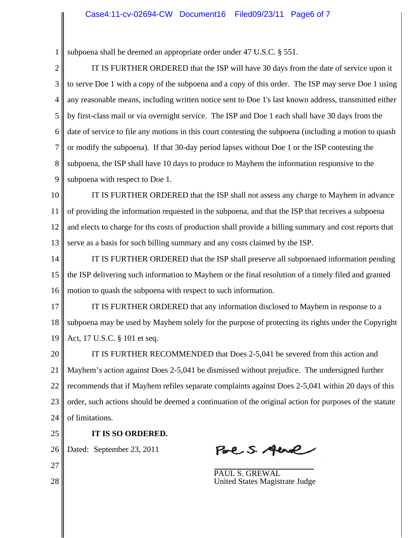1 subpoena shall be deemed an appropriate order under 47 U.S.C. § 551.

2 3 4 5 6 7 8 9 IT IS FURTHER ORDERED that the ISP will have 30 days from the date of service upon it to serve Doe 1 with a copy of the subpoena and a copy of this order. The ISP may serve Doe 1 using any reasonable means, including written notice sent to Doe 1's last known address, transmitted either by first-class mail or via overnight service. The ISP and Doe 1 each shall have 30 days from the date of service to file any motions in this court contesting the subpoena (including a motion to quash or modify the subpoena). If that 30-day period lapses without Doe 1 or the ISP contesting the subpoena, the ISP shall have 10 days to produce to Mayhem the information responsive to the subpoena with respect to Doe 1.

10 11 12 13 IT IS FURTHER ORDERED that the ISP shall not assess any charge to Mayhem in advance of providing the information requested in the subpoena, and that the ISP that receives a subpoena and elects to charge for ths costs of production shall provide a billing summary and cost reports that serve as a basis for such billing summary and any costs claimed by the ISP.

14 15 16 IT IS FURTHER ORDERED that the ISP shall preserve all subpoenaed information pending the ISP delivering such information to Mayhem or the final resolution of a timely filed and granted motion to quash the subpoena with respect to such information.

17 18 19 IT IS FURTHER ORDERED that any information disclosed to Mayhem in response to a subpoena may be used by Mayhem solely for the purpose of protecting its rights under the Copyright Act, 17 U.S.C. § 101 et seq.

20 21 22 23 24 IT IS FURTHER RECOMMENDED that Does 2-5,041 be severed from this action and Mayhem's action against Does 2-5,041 be dismissed without prejudice. The undersigned further recommends that if Mayhem refiles separate complaints against Does 2-5,041 within 20 days of this order, such actions should be deemed a continuation of the original action for purposes of the statute of limitations.

- 25
- **IT IS SO ORDERED.**

26 Dated: September 23, 2011

Pare S. Aune

 $\overline{a}$ PAUL S. GREWAL United States Magistrate Judge

27 28